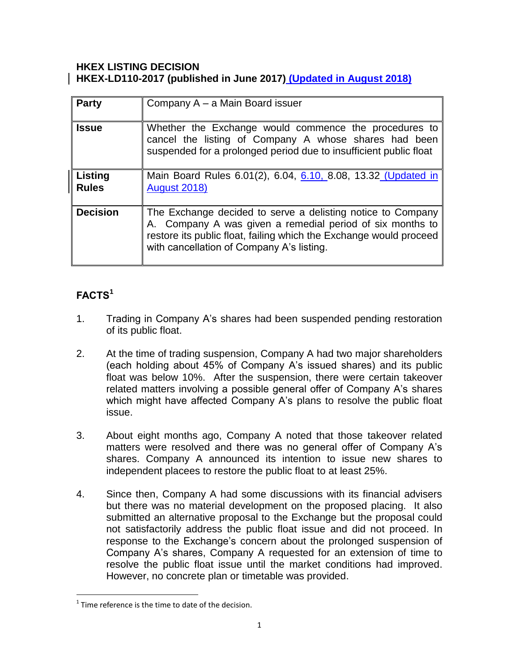### **HKEX LISTING DECISION HKEX-LD110-2017 (published in June 2017) (Updated in August 2018)**

| <b>Party</b>            | Company A - a Main Board issuer                                                                                                                                                                                                             |
|-------------------------|---------------------------------------------------------------------------------------------------------------------------------------------------------------------------------------------------------------------------------------------|
| <b>Issue</b>            | Whether the Exchange would commence the procedures to<br>cancel the listing of Company A whose shares had been<br>suspended for a prolonged period due to insufficient public float                                                         |
| Listing<br><b>Rules</b> | Main Board Rules 6.01(2), 6.04, 6.10, 8.08, 13.32 (Updated in<br><b>August 2018)</b>                                                                                                                                                        |
| <b>Decision</b>         | The Exchange decided to serve a delisting notice to Company<br>A. Company A was given a remedial period of six months to<br>restore its public float, failing which the Exchange would proceed<br>with cancellation of Company A's listing. |

# **FACTS<sup>1</sup>**

 $\overline{a}$ 

- 1. Trading in Company A's shares had been suspended pending restoration of its public float.
- 2. At the time of trading suspension, Company A had two major shareholders (each holding about 45% of Company A's issued shares) and its public float was below 10%. After the suspension, there were certain takeover related matters involving a possible general offer of Company A's shares which might have affected Company A's plans to resolve the public float issue.
- 3. About eight months ago, Company A noted that those takeover related matters were resolved and there was no general offer of Company A's shares. Company A announced its intention to issue new shares to independent placees to restore the public float to at least 25%.
- 4. Since then, Company A had some discussions with its financial advisers but there was no material development on the proposed placing. It also submitted an alternative proposal to the Exchange but the proposal could not satisfactorily address the public float issue and did not proceed. In response to the Exchange's concern about the prolonged suspension of Company A's shares, Company A requested for an extension of time to resolve the public float issue until the market conditions had improved. However, no concrete plan or timetable was provided.

 $1$  Time reference is the time to date of the decision.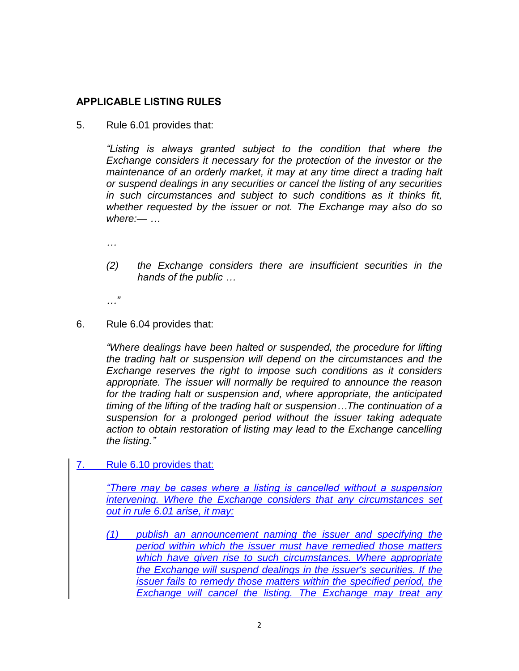## **APPLICABLE LISTING RULES**

5. Rule 6.01 provides that:

*"Listing is always granted subject to the condition that where the Exchange considers it necessary for the protection of the investor or the maintenance of an orderly market, it may at any time direct a trading halt or suspend dealings in any securities or cancel the listing of any securities in such circumstances and subject to such conditions as it thinks fit, whether requested by the issuer or not. The Exchange may also do so where:— …*

*…*

*(2) the Exchange considers there are insufficient securities in the hands of the public …*

*…"*

6. Rule 6.04 provides that:

*"Where dealings have been halted or suspended, the procedure for lifting the trading halt or suspension will depend on the circumstances and the Exchange reserves the right to impose such conditions as it considers appropriate. The issuer will normally be required to announce the reason for the trading halt or suspension and, where appropriate, the anticipated timing of the lifting of the trading halt or suspension…The continuation of a suspension for a prolonged period without the issuer taking adequate action to obtain restoration of listing may lead to the Exchange cancelling the listing."*

7. Rule 6.10 provides that:

*"There may be cases where a listing is cancelled without a suspension intervening. Where the Exchange considers that any circumstances set out in rule 6.01 arise, it may:* 

*(1) publish an announcement naming the issuer and specifying the period within which the issuer must have remedied those matters which have given rise to such circumstances. Where appropriate the Exchange will suspend dealings in the issuer's securities. If the issuer fails to remedy those matters within the specified period, the Exchange will cancel the listing. The Exchange may treat any*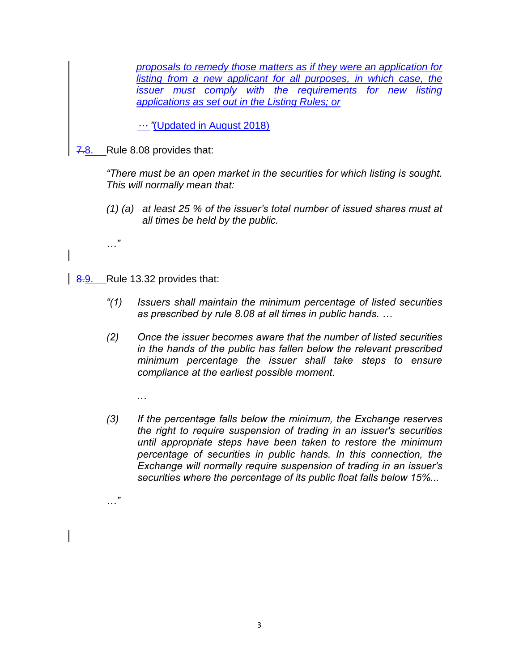*proposals to remedy those matters as if they were an application for listing from a new applicant for all purposes, in which case, the issuer must comply with the requirements for new listing applications as set out in the Listing Rules; or*

… *"*(Updated in August 2018)

7.8. Rule 8.08 provides that:

*"There must be an open market in the securities for which listing is sought. This will normally mean that:*

- *(1) (a) at least 25 % of the issuer's total number of issued shares must at all times be held by the public.*
- 8.9. Rule 13.32 provides that:

*…*

*…"*

*…"*

- *"(1) Issuers shall maintain the minimum percentage of listed securities as prescribed by [rule 8.08](http://en-rules.hkex.com.hk/en/display/display.html?rbid=4476&element_id=2314) at all times in public hands. …*
- *(2) Once the issuer becomes aware that the number of listed securities in the hands of the public has fallen below the relevant prescribed minimum percentage the issuer shall take steps to ensure compliance at the earliest possible moment.*
- *(3) If the percentage falls below the minimum, the Exchange reserves the right to require suspension of trading in an issuer's securities until appropriate steps have been taken to restore the minimum percentage of securities in public hands. In this connection, the Exchange will normally require suspension of trading in an issuer's securities where the percentage of its public float falls below 15%...*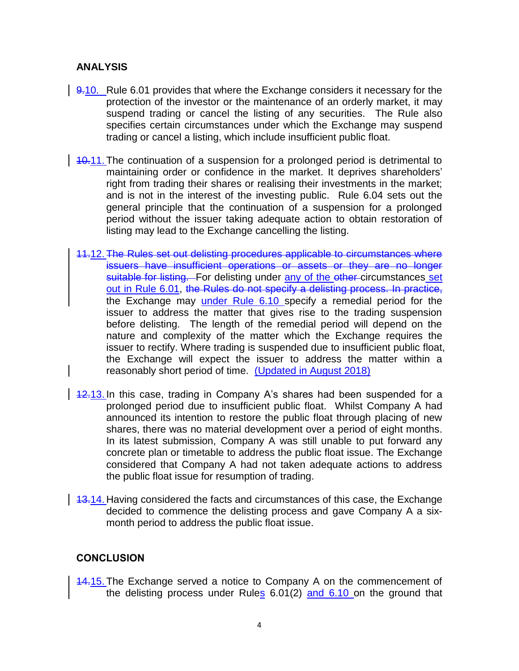### **ANALYSIS**

- 9.10. Rule 6.01 provides that where the Exchange considers it necessary for the protection of the investor or the maintenance of an orderly market, it may suspend trading or cancel the listing of any securities. The Rule also specifies certain circumstances under which the Exchange may suspend trading or cancel a listing, which include insufficient public float.
- 10.11. The continuation of a suspension for a prolonged period is detrimental to maintaining order or confidence in the market. It deprives shareholders' right from trading their shares or realising their investments in the market; and is not in the interest of the investing public. Rule 6.04 sets out the general principle that the continuation of a suspension for a prolonged period without the issuer taking adequate action to obtain restoration of listing may lead to the Exchange cancelling the listing.
- 11.12. The Rules set out delisting procedures applicable to circumstances where issuers have insufficient operations or assets or they are no longer suitable for listing. For delisting under any of the other circumstances set out in Rule 6.01, the Rules do not specify a delisting process. In practice, the Exchange may under Rule 6.10 specify a remedial period for the issuer to address the matter that gives rise to the trading suspension before delisting. The length of the remedial period will depend on the nature and complexity of the matter which the Exchange requires the issuer to rectify. Where trading is suspended due to insufficient public float, the Exchange will expect the issuer to address the matter within a reasonably short period of time. (Updated in August 2018)
- 12.13. In this case, trading in Company A's shares had been suspended for a prolonged period due to insufficient public float. Whilst Company A had announced its intention to restore the public float through placing of new shares, there was no material development over a period of eight months. In its latest submission, Company A was still unable to put forward any concrete plan or timetable to address the public float issue. The Exchange considered that Company A had not taken adequate actions to address the public float issue for resumption of trading.
- 13.14. Having considered the facts and circumstances of this case, the Exchange decided to commence the delisting process and gave Company A a sixmonth period to address the public float issue.

#### **CONCLUSION**

14.15. The Exchange served a notice to Company A on the commencement of the delisting process under Rules 6.01(2) and 6.10 on the ground that